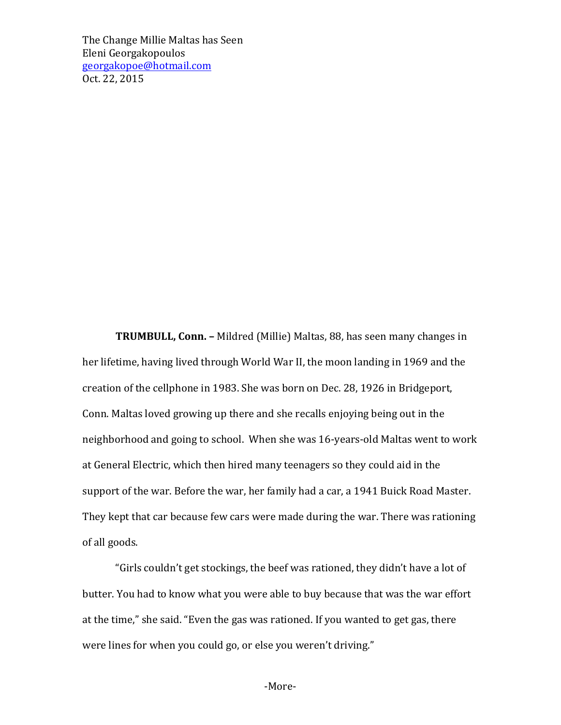**TRUMBULL, Conn.** – Mildred (Millie) Maltas, 88, has seen many changes in her lifetime, having lived through World War II, the moon landing in 1969 and the creation of the cellphone in 1983. She was born on Dec. 28, 1926 in Bridgeport, Conn. Maltas loved growing up there and she recalls enjoying being out in the neighborhood and going to school. When she was 16-years-old Maltas went to work at General Electric, which then hired many teenagers so they could aid in the support of the war. Before the war, her family had a car, a 1941 Buick Road Master. They kept that car because few cars were made during the war. There was rationing of all goods.

"Girls couldn't get stockings, the beef was rationed, they didn't have a lot of butter. You had to know what you were able to buy because that was the war effort at the time," she said. "Even the gas was rationed. If you wanted to get gas, there were lines for when you could go, or else you weren't driving."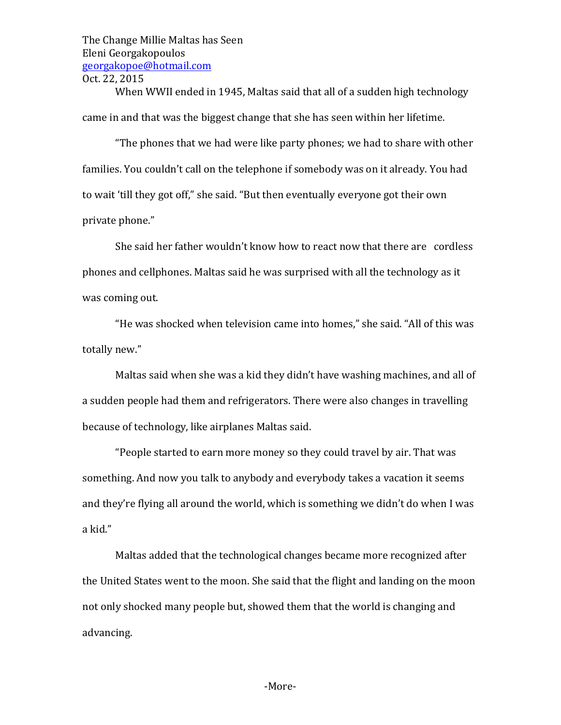When WWII ended in 1945, Maltas said that all of a sudden high technology came in and that was the biggest change that she has seen within her lifetime.

"The phones that we had were like party phones; we had to share with other families. You couldn't call on the telephone if somebody was on it already. You had to wait 'till they got off," she said. "But then eventually everyone got their own private phone."

She said her father wouldn't know how to react now that there are cordless phones and cellphones. Maltas said he was surprised with all the technology as it was coming out.

"He was shocked when television came into homes," she said. "All of this was totally new."

Maltas said when she was a kid they didn't have washing machines, and all of a sudden people had them and refrigerators. There were also changes in travelling because of technology, like airplanes Maltas said.

"People started to earn more money so they could travel by air. That was something. And now you talk to anybody and everybody takes a vacation it seems and they're flying all around the world, which is something we didn't do when I was a kid."

Maltas added that the technological changes became more recognized after the United States went to the moon. She said that the flight and landing on the moon not only shocked many people but, showed them that the world is changing and advancing.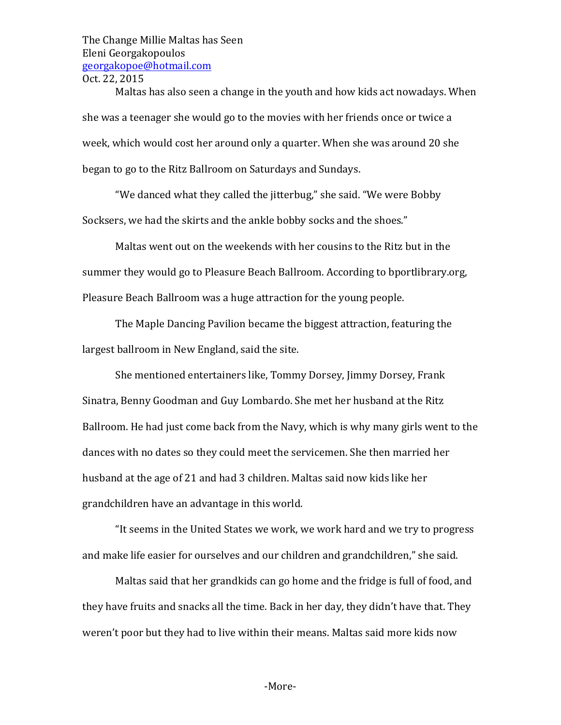Maltas has also seen a change in the youth and how kids act nowadays. When she was a teenager she would go to the movies with her friends once or twice a week, which would cost her around only a quarter. When she was around 20 she began to go to the Ritz Ballroom on Saturdays and Sundays.

"We danced what they called the jitterbug," she said. "We were Bobby Socksers, we had the skirts and the ankle bobby socks and the shoes."

Maltas went out on the weekends with her cousins to the Ritz but in the summer they would go to Pleasure Beach Ballroom. According to bportlibrary.org, Pleasure Beach Ballroom was a huge attraction for the young people.

The Maple Dancing Pavilion became the biggest attraction, featuring the largest ballroom in New England, said the site.

She mentioned entertainers like, Tommy Dorsey, Jimmy Dorsey, Frank Sinatra, Benny Goodman and Guy Lombardo. She met her husband at the Ritz Ballroom. He had just come back from the Navy, which is why many girls went to the dances with no dates so they could meet the servicemen. She then married her husband at the age of 21 and had 3 children. Maltas said now kids like her grandchildren have an advantage in this world.

"It seems in the United States we work, we work hard and we try to progress and make life easier for ourselves and our children and grandchildren," she said.

Maltas said that her grandkids can go home and the fridge is full of food, and they have fruits and snacks all the time. Back in her day, they didn't have that. They weren't poor but they had to live within their means. Maltas said more kids now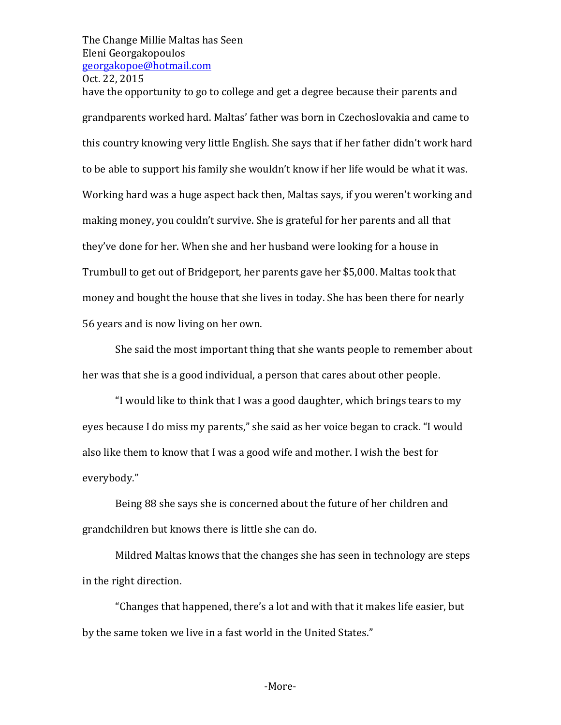have the opportunity to go to college and get a degree because their parents and grandparents worked hard. Maltas' father was born in Czechoslovakia and came to this country knowing very little English. She says that if her father didn't work hard to be able to support his family she wouldn't know if her life would be what it was. Working hard was a huge aspect back then, Maltas says, if you weren't working and making money, you couldn't survive. She is grateful for her parents and all that they've done for her. When she and her husband were looking for a house in Trumbull to get out of Bridgeport, her parents gave her \$5,000. Maltas took that money and bought the house that she lives in today. She has been there for nearly 56 years and is now living on her own.

She said the most important thing that she wants people to remember about her was that she is a good individual, a person that cares about other people.

"I would like to think that I was a good daughter, which brings tears to my eyes because I do miss my parents," she said as her voice began to crack. "I would also like them to know that I was a good wife and mother. I wish the best for everybody."

Being 88 she says she is concerned about the future of her children and grandchildren but knows there is little she can do.

Mildred Maltas knows that the changes she has seen in technology are steps in the right direction.

"Changes that happened, there's a lot and with that it makes life easier, but by the same token we live in a fast world in the United States."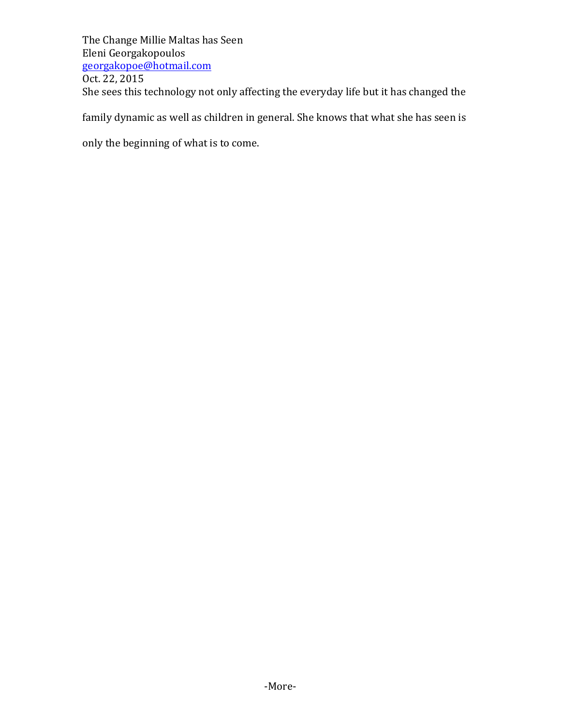The Change Millie Maltas has Seen Eleni Georgakopoulos georgakopoe@hotmail.com Oct. 22, 2015 She sees this technology not only affecting the everyday life but it has changed the

family dynamic as well as children in general. She knows that what she has seen is

only the beginning of what is to come.